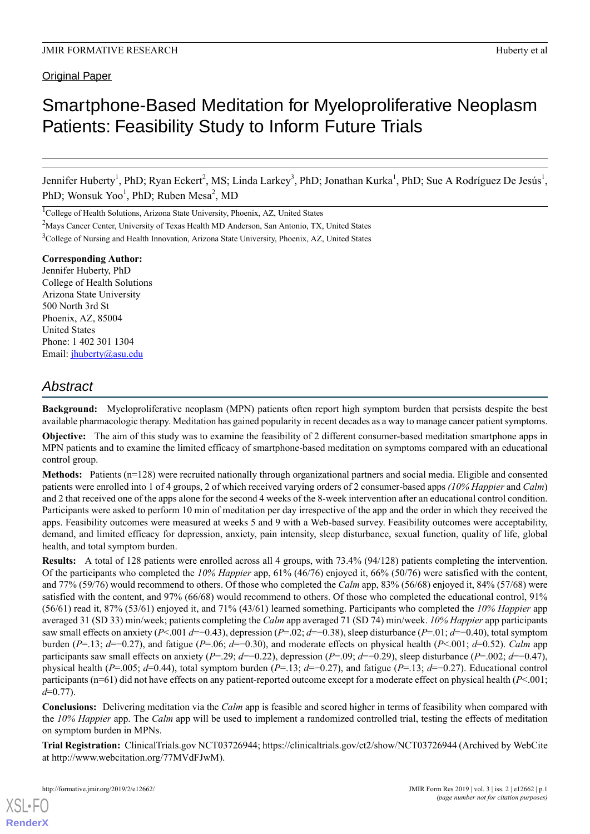# Smartphone-Based Meditation for Myeloproliferative Neoplasm Patients: Feasibility Study to Inform Future Trials

Jennifer Huberty<sup>1</sup>, PhD; Ryan Eckert<sup>2</sup>, MS; Linda Larkey<sup>3</sup>, PhD; Jonathan Kurka<sup>1</sup>, PhD; Sue A Rodríguez De Jesús<sup>1</sup>, PhD; Wonsuk Yoo<sup>1</sup>, PhD; Ruben Mesa<sup>2</sup>, MD

<sup>1</sup>College of Health Solutions, Arizona State University, Phoenix, AZ, United States

<sup>2</sup>Mays Cancer Center, University of Texas Health MD Anderson, San Antonio, TX, United States

<sup>3</sup>College of Nursing and Health Innovation, Arizona State University, Phoenix, AZ, United States

**Corresponding Author:** Jennifer Huberty, PhD College of Health Solutions Arizona State University 500 North 3rd St Phoenix, AZ, 85004 United States Phone: 1 402 301 1304 Email: [jhuberty@asu.edu](mailto:jhuberty@asu.edu)

# *Abstract*

**Background:** Myeloproliferative neoplasm (MPN) patients often report high symptom burden that persists despite the best available pharmacologic therapy. Meditation has gained popularity in recent decades as a way to manage cancer patient symptoms.

**Objective:** The aim of this study was to examine the feasibility of 2 different consumer-based meditation smartphone apps in MPN patients and to examine the limited efficacy of smartphone-based meditation on symptoms compared with an educational control group.

**Methods:** Patients (n=128) were recruited nationally through organizational partners and social media. Eligible and consented patients were enrolled into 1 of 4 groups, 2 of which received varying orders of 2 consumer-based apps *(10% Happier* and *Calm*) and 2 that received one of the apps alone for the second 4 weeks of the 8-week intervention after an educational control condition. Participants were asked to perform 10 min of meditation per day irrespective of the app and the order in which they received the apps. Feasibility outcomes were measured at weeks 5 and 9 with a Web-based survey. Feasibility outcomes were acceptability, demand, and limited efficacy for depression, anxiety, pain intensity, sleep disturbance, sexual function, quality of life, global health, and total symptom burden.

**Results:** A total of 128 patients were enrolled across all 4 groups, with 73.4% (94/128) patients completing the intervention. Of the participants who completed the *10% Happier* app, 61% (46/76) enjoyed it, 66% (50/76) were satisfied with the content, and 77% (59/76) would recommend to others. Of those who completed the *Calm* app, 83% (56/68) enjoyed it, 84% (57/68) were satisfied with the content, and 97% (66/68) would recommend to others. Of those who completed the educational control, 91% (56/61) read it, 87% (53/61) enjoyed it, and 71% (43/61) learned something. Participants who completed the *10% Happier* app averaged 31 (SD 33) min/week; patients completing the *Calm* app averaged 71 (SD 74) min/week. *10% Happier* app participants saw small effects on anxiety (*P*<.001 *d*=−0.43), depression (*P*=.02; *d*=−0.38), sleep disturbance (*P*=.01; *d*=−0.40), total symptom burden (*P*=.13; *d*=−0.27), and fatigue (*P*=.06; *d*=−0.30), and moderate effects on physical health (*P*<.001; *d*=0.52). *Calm* app participants saw small effects on anxiety (*P*=.29; *d*=−0.22), depression (*P*=.09; *d*=−0.29), sleep disturbance (*P*=.002; *d*=−0.47), physical health (*P*=.005; *d*=0.44), total symptom burden (*P*=.13; *d*=−0.27), and fatigue (*P*=.13; *d*=−0.27). Educational control participants (n=61) did not have effects on any patient-reported outcome except for a moderate effect on physical health (*P*<.001; *d*=0.77).

**Conclusions:** Delivering meditation via the *Calm* app is feasible and scored higher in terms of feasibility when compared with the *10% Happier* app. The *Calm* app will be used to implement a randomized controlled trial, testing the effects of meditation on symptom burden in MPNs.

**Trial Registration:** ClinicalTrials.gov NCT03726944; https://clinicaltrials.gov/ct2/show/NCT03726944 (Archived by WebCite at http://www.webcitation.org/77MVdFJwM).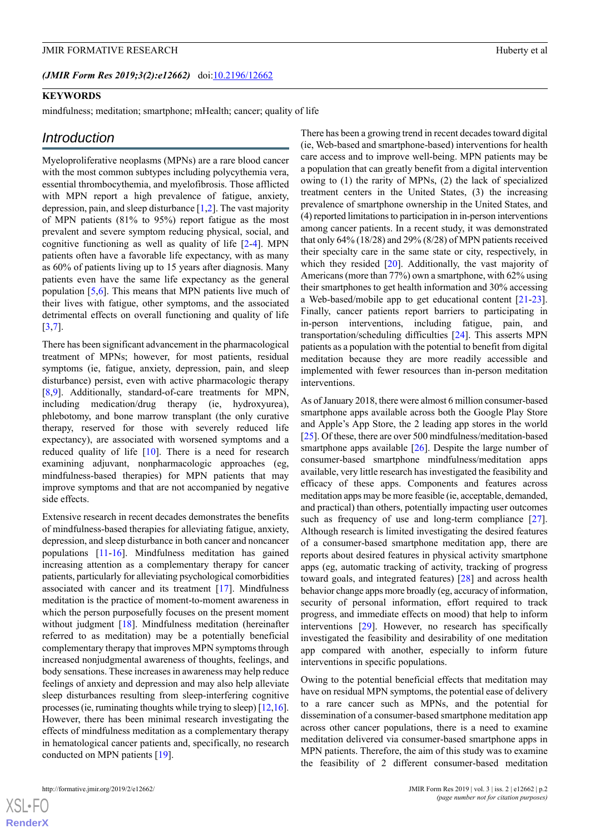#### **KEYWORDS**

mindfulness; meditation; smartphone; mHealth; cancer; quality of life

#### *Introduction*

Myeloproliferative neoplasms (MPNs) are a rare blood cancer with the most common subtypes including polycythemia vera, essential thrombocythemia, and myelofibrosis. Those afflicted with MPN report a high prevalence of fatigue, anxiety, depression, pain, and sleep disturbance [[1](#page-8-0)[,2](#page-8-1)]. The vast majority of MPN patients (81% to 95%) report fatigue as the most prevalent and severe symptom reducing physical, social, and cognitive functioning as well as quality of life [\[2-](#page-8-1)[4\]](#page-8-2). MPN patients often have a favorable life expectancy, with as many as 60% of patients living up to 15 years after diagnosis. Many patients even have the same life expectancy as the general population [[5,](#page-8-3)[6](#page-8-4)]. This means that MPN patients live much of their lives with fatigue, other symptoms, and the associated detrimental effects on overall functioning and quality of life [[3](#page-8-5)[,7](#page-8-6)].

There has been significant advancement in the pharmacological treatment of MPNs; however, for most patients, residual symptoms (ie, fatigue, anxiety, depression, pain, and sleep disturbance) persist, even with active pharmacologic therapy [[8](#page-8-7)[,9](#page-8-8)]. Additionally, standard-of-care treatments for MPN, including medication/drug therapy (ie, hydroxyurea), phlebotomy, and bone marrow transplant (the only curative therapy, reserved for those with severely reduced life expectancy), are associated with worsened symptoms and a reduced quality of life [\[10](#page-8-9)]. There is a need for research examining adjuvant, nonpharmacologic approaches (eg, mindfulness-based therapies) for MPN patients that may improve symptoms and that are not accompanied by negative side effects.

Extensive research in recent decades demonstrates the benefits of mindfulness-based therapies for alleviating fatigue, anxiety, depression, and sleep disturbance in both cancer and noncancer populations [\[11-](#page-8-10)[16\]](#page-8-11). Mindfulness meditation has gained increasing attention as a complementary therapy for cancer patients, particularly for alleviating psychological comorbidities associated with cancer and its treatment [\[17](#page-8-12)]. Mindfulness meditation is the practice of moment-to-moment awareness in which the person purposefully focuses on the present moment without judgment [\[18](#page-9-0)]. Mindfulness meditation (hereinafter referred to as meditation) may be a potentially beneficial complementary therapy that improves MPN symptoms through increased nonjudgmental awareness of thoughts, feelings, and body sensations. These increases in awareness may help reduce feelings of anxiety and depression and may also help alleviate sleep disturbances resulting from sleep-interfering cognitive processes (ie, ruminating thoughts while trying to sleep) [[12,](#page-8-13)[16\]](#page-8-11). However, there has been minimal research investigating the effects of mindfulness meditation as a complementary therapy in hematological cancer patients and, specifically, no research conducted on MPN patients [[19\]](#page-9-1).

There has been a growing trend in recent decades toward digital (ie, Web-based and smartphone-based) interventions for health care access and to improve well-being. MPN patients may be a population that can greatly benefit from a digital intervention owing to (1) the rarity of MPNs, (2) the lack of specialized treatment centers in the United States, (3) the increasing prevalence of smartphone ownership in the United States, and (4) reported limitations to participation in in-person interventions among cancer patients. In a recent study, it was demonstrated that only 64% (18/28) and 29% (8/28) of MPN patients received their specialty care in the same state or city, respectively, in which they resided  $[20]$  $[20]$ . Additionally, the vast majority of Americans (more than 77%) own a smartphone, with 62% using their smartphones to get health information and 30% accessing a Web-based/mobile app to get educational content [[21-](#page-9-3)[23\]](#page-9-4). Finally, cancer patients report barriers to participating in in-person interventions, including fatigue, pain, and transportation/scheduling difficulties [\[24](#page-9-5)]. This asserts MPN patients as a population with the potential to benefit from digital meditation because they are more readily accessible and implemented with fewer resources than in-person meditation interventions.

As of January 2018, there were almost 6 million consumer-based smartphone apps available across both the Google Play Store and Apple's App Store, the 2 leading app stores in the world [[25\]](#page-9-6). Of these, there are over 500 mindfulness/meditation-based smartphone apps available [\[26](#page-9-7)]. Despite the large number of consumer-based smartphone mindfulness/meditation apps available, very little research has investigated the feasibility and efficacy of these apps. Components and features across meditation apps may be more feasible (ie, acceptable, demanded, and practical) than others, potentially impacting user outcomes such as frequency of use and long-term compliance [[27\]](#page-9-8). Although research is limited investigating the desired features of a consumer-based smartphone meditation app, there are reports about desired features in physical activity smartphone apps (eg, automatic tracking of activity, tracking of progress toward goals, and integrated features) [\[28](#page-9-9)] and across health behavior change apps more broadly (eg, accuracy of information, security of personal information, effort required to track progress, and immediate effects on mood) that help to inform interventions [\[29](#page-9-10)]. However, no research has specifically investigated the feasibility and desirability of one meditation app compared with another, especially to inform future interventions in specific populations.

Owing to the potential beneficial effects that meditation may have on residual MPN symptoms, the potential ease of delivery to a rare cancer such as MPNs, and the potential for dissemination of a consumer-based smartphone meditation app across other cancer populations, there is a need to examine meditation delivered via consumer-based smartphone apps in MPN patients. Therefore, the aim of this study was to examine the feasibility of 2 different consumer-based meditation

 $XS$ -FO **[RenderX](http://www.renderx.com/)**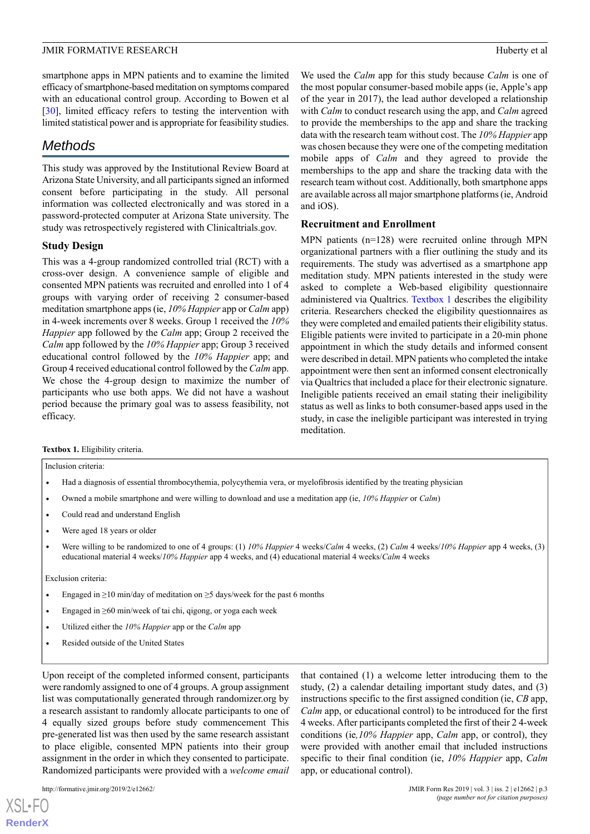smartphone apps in MPN patients and to examine the limited efficacy of smartphone-based meditation on symptoms compared with an educational control group. According to Bowen et al [[30\]](#page-9-11), limited efficacy refers to testing the intervention with limited statistical power and is appropriate for feasibility studies.

# *Methods*

This study was approved by the Institutional Review Board at Arizona State University, and all participants signed an informed consent before participating in the study. All personal information was collected electronically and was stored in a password-protected computer at Arizona State university. The study was retrospectively registered with Clinicaltrials.gov.

# **Study Design**

This was a 4-group randomized controlled trial (RCT) with a cross-over design. A convenience sample of eligible and consented MPN patients was recruited and enrolled into 1 of 4 groups with varying order of receiving 2 consumer-based meditation smartphone apps (ie, *10% Happier* app or *Calm* app) in 4-week increments over 8 weeks. Group 1 received the *10% Happier* app followed by the *Calm* app; Group 2 received the *Calm* app followed by the *10% Happier* app; Group 3 received educational control followed by the *10% Happier* app; and Group 4 received educational control followed by the *Calm* app. We chose the 4-group design to maximize the number of participants who use both apps. We did not have a washout period because the primary goal was to assess feasibility, not efficacy.

We used the *Calm* app for this study because *Calm* is one of the most popular consumer-based mobile apps (ie, Apple's app of the year in 2017), the lead author developed a relationship with *Calm* to conduct research using the app, and *Calm* agreed to provide the memberships to the app and share the tracking data with the research team without cost. The *10% Happier* app was chosen because they were one of the competing meditation mobile apps of *Calm* and they agreed to provide the memberships to the app and share the tracking data with the research team without cost. Additionally, both smartphone apps are available across all major smartphone platforms (ie, Android and iOS).

# **Recruitment and Enrollment**

MPN patients (n=128) were recruited online through MPN organizational partners with a flier outlining the study and its requirements. The study was advertised as a smartphone app meditation study. MPN patients interested in the study were asked to complete a Web-based eligibility questionnaire administered via Qualtrics. [Textbox 1](#page-2-0) describes the eligibility criteria. Researchers checked the eligibility questionnaires as they were completed and emailed patients their eligibility status. Eligible patients were invited to participate in a 20-min phone appointment in which the study details and informed consent were described in detail. MPN patients who completed the intake appointment were then sent an informed consent electronically via Qualtrics that included a place for their electronic signature. Ineligible patients received an email stating their ineligibility status as well as links to both consumer-based apps used in the study, in case the ineligible participant was interested in trying meditation.

#### <span id="page-2-0"></span>**Textbox 1.** Eligibility criteria.

Inclusion criteria:

- Had a diagnosis of essential thrombocythemia, polycythemia vera, or myelofibrosis identified by the treating physician
- Owned a mobile smartphone and were willing to download and use a meditation app (ie, *10% Happier* or *Calm*)
- Could read and understand English
- Were aged 18 years or older
- Were willing to be randomized to one of 4 groups: (1) *10% Happier* 4 weeks/*Calm* 4 weeks, (2) *Calm* 4 weeks/*10% Happier* app 4 weeks, (3) educational material 4 weeks/*10% Happier* app 4 weeks, and (4) educational material 4 weeks/*Calm* 4 weeks

Exclusion criteria:

- Engaged in  $\geq$ 10 min/day of meditation on  $\geq$ 5 days/week for the past 6 months
- Engaged in ≥60 min/week of tai chi, qigong, or yoga each week
- Utilized either the *10% Happier* app or the *Calm* app
- Resided outside of the United States

Upon receipt of the completed informed consent, participants were randomly assigned to one of 4 groups. A group assignment list was computationally generated through randomizer.org by a research assistant to randomly allocate participants to one of 4 equally sized groups before study commencement This pre-generated list was then used by the same research assistant to place eligible, consented MPN patients into their group assignment in the order in which they consented to participate. Randomized participants were provided with a *welcome email*

 $XS$ -FO **[RenderX](http://www.renderx.com/)** that contained (1) a welcome letter introducing them to the study, (2) a calendar detailing important study dates, and (3) instructions specific to the first assigned condition (ie, *CB* app, *Calm* app, or educational control) to be introduced for the first 4 weeks. After participants completed the first of their 2 4-week conditions (ie*,10% Happier* app, *Calm* app, or control), they were provided with another email that included instructions specific to their final condition (ie, *10% Happier* app, *Calm* app, or educational control).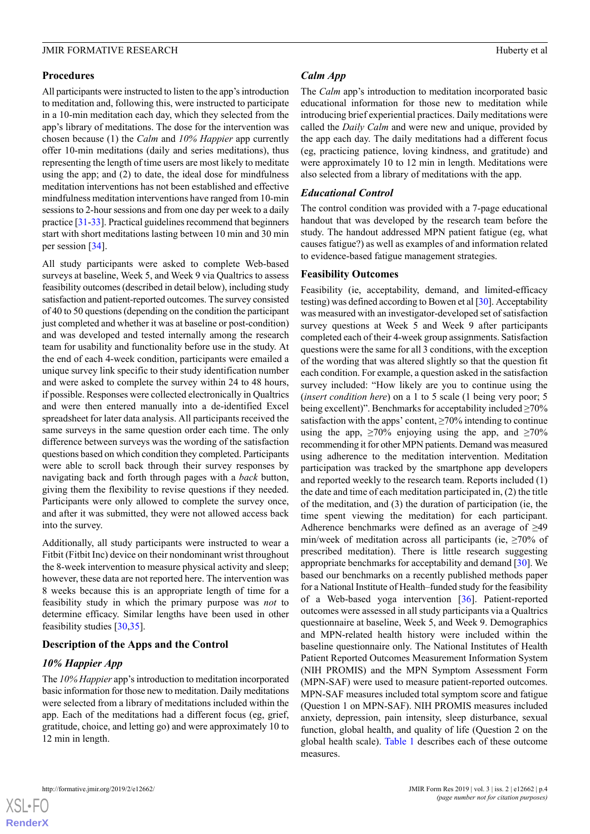### **Procedures**

All participants were instructed to listen to the app's introduction to meditation and, following this, were instructed to participate in a 10-min meditation each day, which they selected from the app's library of meditations. The dose for the intervention was chosen because (1) the *Calm* and *10% Happier* app currently offer 10-min meditations (daily and series meditations), thus representing the length of time users are most likely to meditate using the app; and (2) to date, the ideal dose for mindfulness meditation interventions has not been established and effective mindfulness meditation interventions have ranged from 10-min sessions to 2-hour sessions and from one day per week to a daily practice [[31-](#page-9-12)[33\]](#page-9-13). Practical guidelines recommend that beginners start with short meditations lasting between 10 min and 30 min per session [\[34](#page-9-14)].

All study participants were asked to complete Web-based surveys at baseline, Week 5, and Week 9 via Qualtrics to assess feasibility outcomes (described in detail below), including study satisfaction and patient-reported outcomes. The survey consisted of 40 to 50 questions (depending on the condition the participant just completed and whether it was at baseline or post-condition) and was developed and tested internally among the research team for usability and functionality before use in the study. At the end of each 4-week condition, participants were emailed a unique survey link specific to their study identification number and were asked to complete the survey within 24 to 48 hours, if possible. Responses were collected electronically in Qualtrics and were then entered manually into a de-identified Excel spreadsheet for later data analysis. All participants received the same surveys in the same question order each time. The only difference between surveys was the wording of the satisfaction questions based on which condition they completed. Participants were able to scroll back through their survey responses by navigating back and forth through pages with a *back* button, giving them the flexibility to revise questions if they needed. Participants were only allowed to complete the survey once, and after it was submitted, they were not allowed access back into the survey.

Additionally, all study participants were instructed to wear a Fitbit (Fitbit Inc) device on their nondominant wrist throughout the 8-week intervention to measure physical activity and sleep; however, these data are not reported here. The intervention was 8 weeks because this is an appropriate length of time for a feasibility study in which the primary purpose was *not* to determine efficacy. Similar lengths have been used in other feasibility studies [\[30](#page-9-11)[,35](#page-9-15)].

# **Description of the Apps and the Control**

# *10% Happier App*

The *10% Happier* app's introduction to meditation incorporated basic information for those new to meditation. Daily meditations were selected from a library of meditations included within the app. Each of the meditations had a different focus (eg, grief, gratitude, choice, and letting go) and were approximately 10 to 12 min in length.

# *Calm App*

The *Calm* app's introduction to meditation incorporated basic educational information for those new to meditation while introducing brief experiential practices. Daily meditations were called the *Daily Calm* and were new and unique, provided by the app each day. The daily meditations had a different focus (eg, practicing patience, loving kindness, and gratitude) and were approximately 10 to 12 min in length. Meditations were also selected from a library of meditations with the app.

# *Educational Control*

The control condition was provided with a 7-page educational handout that was developed by the research team before the study. The handout addressed MPN patient fatigue (eg, what causes fatigue?) as well as examples of and information related to evidence-based fatigue management strategies.

# **Feasibility Outcomes**

Feasibility (ie, acceptability, demand, and limited-efficacy testing) was defined according to Bowen et al [\[30\]](#page-9-11). Acceptability was measured with an investigator-developed set of satisfaction survey questions at Week 5 and Week 9 after participants completed each of their 4-week group assignments. Satisfaction questions were the same for all 3 conditions, with the exception of the wording that was altered slightly so that the question fit each condition. For example, a question asked in the satisfaction survey included: "How likely are you to continue using the (*insert condition here*) on a 1 to 5 scale (1 being very poor; 5 being excellent)". Benchmarks for acceptability included ≥70% satisfaction with the apps' content,  $\geq$ 70% intending to continue using the app,  $\geq 70\%$  enjoying using the app, and  $\geq 70\%$ recommending it for other MPN patients. Demand was measured using adherence to the meditation intervention. Meditation participation was tracked by the smartphone app developers and reported weekly to the research team. Reports included (1) the date and time of each meditation participated in, (2) the title of the meditation, and (3) the duration of participation (ie, the time spent viewing the meditation) for each participant. Adherence benchmarks were defined as an average of ≥49 min/week of meditation across all participants (ie,  $\geq 70\%$  of prescribed meditation). There is little research suggesting appropriate benchmarks for acceptability and demand [[30\]](#page-9-11). We based our benchmarks on a recently published methods paper for a National Institute of Health–funded study for the feasibility of a Web-based yoga intervention [[36\]](#page-9-16). Patient-reported outcomes were assessed in all study participants via a Qualtrics questionnaire at baseline, Week 5, and Week 9. Demographics and MPN-related health history were included within the baseline questionnaire only. The National Institutes of Health Patient Reported Outcomes Measurement Information System (NIH PROMIS) and the MPN Symptom Assessment Form (MPN-SAF) were used to measure patient-reported outcomes. MPN-SAF measures included total symptom score and fatigue (Question 1 on MPN-SAF). NIH PROMIS measures included anxiety, depression, pain intensity, sleep disturbance, sexual function, global health, and quality of life (Question 2 on the global health scale). [Table 1](#page-4-0) describes each of these outcome measures.

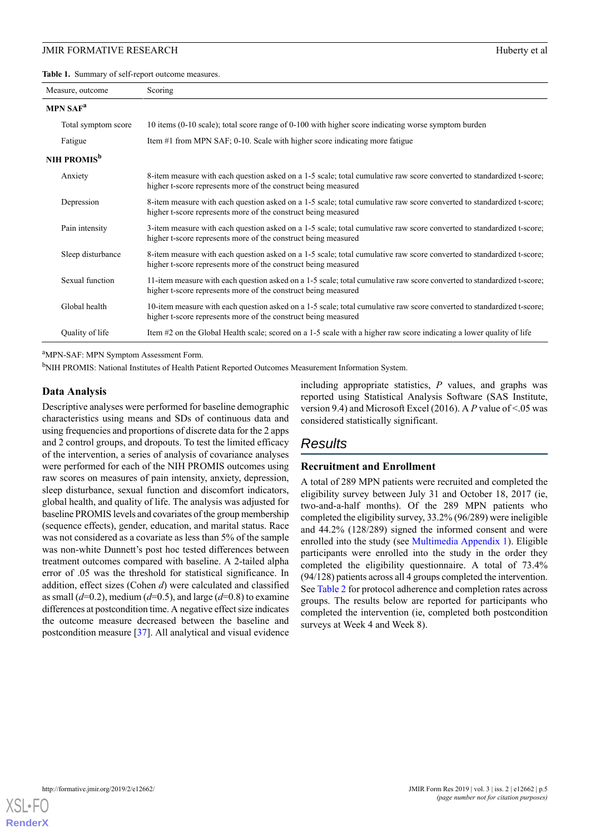<span id="page-4-0"></span>**Table 1.** Summary of self-report outcome measures.

| Measure, outcome        | Scoring                                                                                                                                                                                  |
|-------------------------|------------------------------------------------------------------------------------------------------------------------------------------------------------------------------------------|
| MPN SAF <sup>a</sup>    |                                                                                                                                                                                          |
| Total symptom score     | 10 items (0-10 scale); total score range of 0-100 with higher score indicating worse symptom burden                                                                                      |
| Fatigue                 | Item $#1$ from MPN SAF; 0-10. Scale with higher score indicating more fatigue                                                                                                            |
| NIH PROMIS <sup>b</sup> |                                                                                                                                                                                          |
| Anxiety                 | 8-item measure with each question asked on a 1-5 scale; total cumulative raw score converted to standardized t-score;<br>higher t-score represents more of the construct being measured  |
| Depression              | 8-item measure with each question asked on a 1-5 scale; total cumulative raw score converted to standardized t-score;<br>higher t-score represents more of the construct being measured  |
| Pain intensity          | 3-item measure with each question asked on a 1-5 scale; total cumulative raw score converted to standardized t-score;<br>higher t-score represents more of the construct being measured  |
| Sleep disturbance       | 8-item measure with each question asked on a 1-5 scale; total cumulative raw score converted to standardized t-score;<br>higher t-score represents more of the construct being measured  |
| Sexual function         | 11-item measure with each question asked on a 1-5 scale; total cumulative raw score converted to standardized t-score;<br>higher t-score represents more of the construct being measured |
| Global health           | 10-item measure with each question asked on a 1-5 scale; total cumulative raw score converted to standardized t-score;<br>higher t-score represents more of the construct being measured |
| Quality of life         | Item #2 on the Global Health scale; scored on a 1-5 scale with a higher raw score indicating a lower quality of life                                                                     |

<sup>a</sup>MPN-SAF: MPN Symptom Assessment Form.

<sup>b</sup>NIH PROMIS: National Institutes of Health Patient Reported Outcomes Measurement Information System.

#### **Data Analysis**

Descriptive analyses were performed for baseline demographic characteristics using means and SDs of continuous data and using frequencies and proportions of discrete data for the 2 apps and 2 control groups, and dropouts. To test the limited efficacy of the intervention, a series of analysis of covariance analyses were performed for each of the NIH PROMIS outcomes using raw scores on measures of pain intensity, anxiety, depression, sleep disturbance, sexual function and discomfort indicators, global health, and quality of life. The analysis was adjusted for baseline PROMIS levels and covariates of the group membership (sequence effects), gender, education, and marital status. Race was not considered as a covariate as less than 5% of the sample was non-white Dunnett's post hoc tested differences between treatment outcomes compared with baseline. A 2-tailed alpha error of .05 was the threshold for statistical significance. In addition, effect sizes (Cohen *d*) were calculated and classified as small  $(d=0.2)$ , medium  $(d=0.5)$ , and large  $(d=0.8)$  to examine differences at postcondition time. A negative effect size indicates the outcome measure decreased between the baseline and postcondition measure [\[37](#page-9-17)]. All analytical and visual evidence

including appropriate statistics, *P* values, and graphs was reported using Statistical Analysis Software (SAS Institute, version 9.4) and Microsoft Excel (2016). A *P* value of <.05 was considered statistically significant.

# *Results*

#### **Recruitment and Enrollment**

A total of 289 MPN patients were recruited and completed the eligibility survey between July 31 and October 18, 2017 (ie, two-and-a-half months). Of the 289 MPN patients who completed the eligibility survey, 33.2% (96/289) were ineligible and 44.2% (128/289) signed the informed consent and were enrolled into the study (see [Multimedia Appendix 1](#page-7-0)). Eligible participants were enrolled into the study in the order they completed the eligibility questionnaire. A total of 73.4% (94/128) patients across all 4 groups completed the intervention. See [Table 2](#page-5-0) for protocol adherence and completion rates across groups. The results below are reported for participants who completed the intervention (ie, completed both postcondition surveys at Week 4 and Week 8).

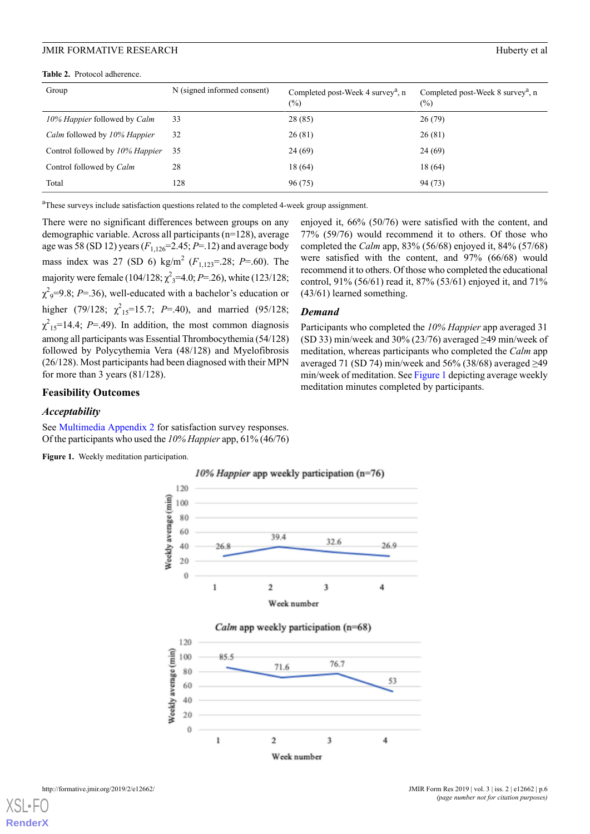<span id="page-5-0"></span>**Table 2.** Protocol adherence.

| Group                           | N (signed informed consent) | Completed post-Week 4 survey <sup>a</sup> , n<br>$(\%)$ | Completed post-Week 8 survey <sup>a</sup> , n<br>$(\%)$ |
|---------------------------------|-----------------------------|---------------------------------------------------------|---------------------------------------------------------|
| 10% Happier followed by Calm    | 33                          | 28 (85)                                                 | 26(79)                                                  |
| Calm followed by 10% Happier    | 32                          | 26(81)                                                  | 26(81)                                                  |
| Control followed by 10% Happier | 35                          | 24 (69)                                                 | 24 (69)                                                 |
| Control followed by Calm        | 28                          | 18 (64)                                                 | 18 (64)                                                 |
| Total                           | 128                         | 96(75)                                                  | 94 (73)                                                 |

<sup>a</sup>These surveys include satisfaction questions related to the completed 4-week group assignment.

There were no significant differences between groups on any demographic variable. Across all participants (n=128), average age was 58 (SD 12) years (*F*1,126=2.45; *P*=.12) and average body mass index was 27 (SD 6) kg/m<sup>2</sup> (*F*1,123=.28; *P*=.60). The majority were female (104/128; χ 2 <sup>3</sup>=4.0; *P*=.26), white (123/128;  $\chi^2$ <sub>9</sub>=9.8; *P*=.36), well-educated with a bachelor's education or higher (79/128;  $\chi^2_{15}$ =15.7; *P*=.40), and married (95/128;  $\chi^2_{15}$ =14.4; *P*=.49). In addition, the most common diagnosis among all participants was Essential Thrombocythemia (54/128) followed by Polycythemia Vera (48/128) and Myelofibrosis (26/128). Most participants had been diagnosed with their MPN for more than 3 years (81/128).

### enjoyed it, 66% (50/76) were satisfied with the content, and 77% (59/76) would recommend it to others. Of those who completed the *Calm* app, 83% (56/68) enjoyed it, 84% (57/68) were satisfied with the content, and 97% (66/68) would recommend it to others. Of those who completed the educational control, 91% (56/61) read it, 87% (53/61) enjoyed it, and 71% (43/61) learned something.

#### *Demand*

Participants who completed the *10% Happier* app averaged 31 (SD 33) min/week and 30% (23/76) averaged  $\geq$ 49 min/week of meditation, whereas participants who completed the *Calm* app averaged 71 (SD 74) min/week and 56% (38/68) averaged  $\geq$ 49 min/week of meditation. See [Figure 1](#page-5-1) depicting average weekly meditation minutes completed by participants.

#### **Feasibility Outcomes**

### <span id="page-5-1"></span>*Acceptability*

See [Multimedia Appendix 2](#page-8-14) for satisfaction survey responses. Of the participants who used the *10% Happier* app, 61% (46/76)

**Figure 1.** Weekly meditation participation.

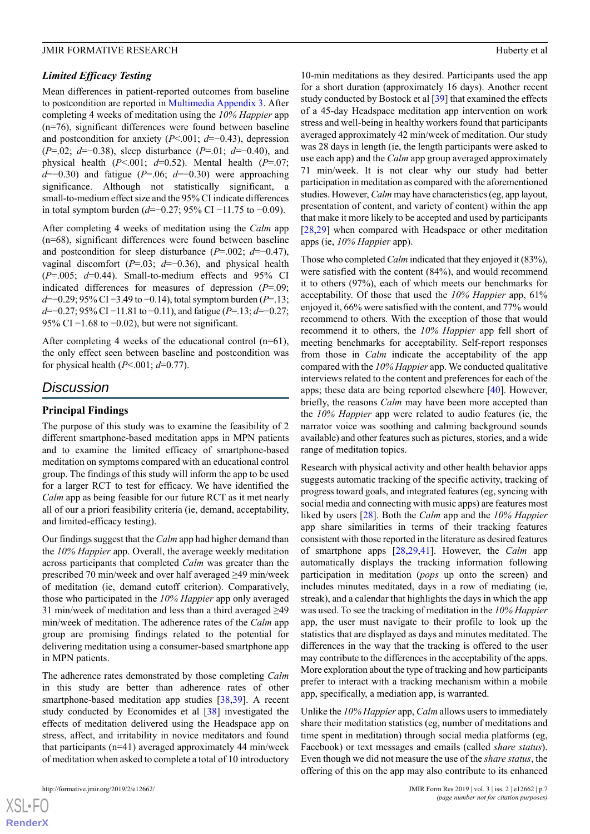#### *Limited Efficacy Testing*

Mean differences in patient-reported outcomes from baseline to postcondition are reported in [Multimedia Appendix 3.](#page-8-15) After completing 4 weeks of meditation using the *10% Happier* app (n=76), significant differences were found between baseline and postcondition for anxiety (*P*<.001; *d*=−0.43), depression (*P*=.02; *d*=−0.38), sleep disturbance (*P*=.01; *d*=−0.40), and physical health  $(P<.001; d=0.52)$ . Mental health  $(P=.07;$ *d*=−0.30) and fatigue (*P*=.06; *d*=−0.30) were approaching significance. Although not statistically significant, a small-to-medium effect size and the 95% CI indicate differences in total symptom burden (*d*=−0.27; 95% CI −11.75 to −0.09).

After completing 4 weeks of meditation using the *Calm* app (n=68), significant differences were found between baseline and postcondition for sleep disturbance (*P*=.002; *d*=−0.47), vaginal discomfort (*P*=.03; *d*=−0.36), and physical health (*P*=.005; *d*=0.44). Small-to-medium effects and 95% CI indicated differences for measures of depression (*P*=.09; *d*=−0.29; 95% CI −3.49 to −0.14), total symptom burden (*P*=.13; *d*=−0.27; 95% CI −11.81 to −0.11), and fatigue (*P*=.13; *d*=−0.27; 95% CI  $-1.68$  to  $-0.02$ ), but were not significant.

After completing 4 weeks of the educational control (n=61), the only effect seen between baseline and postcondition was for physical health (*P*<.001; *d*=0.77).

# *Discussion*

#### **Principal Findings**

The purpose of this study was to examine the feasibility of 2 different smartphone-based meditation apps in MPN patients and to examine the limited efficacy of smartphone-based meditation on symptoms compared with an educational control group. The findings of this study will inform the app to be used for a larger RCT to test for efficacy. We have identified the *Calm* app as being feasible for our future RCT as it met nearly all of our a priori feasibility criteria (ie, demand, acceptability, and limited-efficacy testing).

Our findings suggest that the *Calm* app had higher demand than the *10% Happier* app. Overall, the average weekly meditation across participants that completed *Calm* was greater than the prescribed 70 min/week and over half averaged ≥49 min/week of meditation (ie, demand cutoff criterion). Comparatively, those who participated in the *10% Happier* app only averaged 31 min/week of meditation and less than a third averaged ≥49 min/week of meditation. The adherence rates of the *Calm* app group are promising findings related to the potential for delivering meditation using a consumer-based smartphone app in MPN patients.

The adherence rates demonstrated by those completing *Calm* in this study are better than adherence rates of other smartphone-based meditation app studies [\[38](#page-9-18),[39\]](#page-9-19). A recent study conducted by Economides et al [[38\]](#page-9-18) investigated the effects of meditation delivered using the Headspace app on stress, affect, and irritability in novice meditators and found that participants (n=41) averaged approximately 44 min/week of meditation when asked to complete a total of 10 introductory

10-min meditations as they desired. Participants used the app for a short duration (approximately 16 days). Another recent study conducted by Bostock et al [[39\]](#page-9-19) that examined the effects of a 45-day Headspace meditation app intervention on work stress and well-being in healthy workers found that participants averaged approximately 42 min/week of meditation. Our study was 28 days in length (ie, the length participants were asked to use each app) and the *Calm* app group averaged approximately 71 min/week. It is not clear why our study had better participation in meditation as compared with the aforementioned studies. However, *Calm* may have characteristics (eg, app layout, presentation of content, and variety of content) within the app that make it more likely to be accepted and used by participants [[28,](#page-9-9)[29\]](#page-9-10) when compared with Headspace or other meditation apps (ie, *10% Happier* app).

Those who completed *Calm* indicated that they enjoyed it (83%), were satisfied with the content (84%), and would recommend it to others (97%), each of which meets our benchmarks for acceptability. Of those that used the *10% Happier* app, 61% enjoyed it, 66% were satisfied with the content, and 77% would recommend to others. With the exception of those that would recommend it to others, the *10% Happier* app fell short of meeting benchmarks for acceptability. Self-report responses from those in *Calm* indicate the acceptability of the app compared with the *10% Happier* app. We conducted qualitative interviews related to the content and preferences for each of the apps; these data are being reported elsewhere [\[40](#page-9-20)]. However, briefly, the reasons *Calm* may have been more accepted than the *10% Happier* app were related to audio features (ie, the narrator voice was soothing and calming background sounds available) and other features such as pictures, stories, and a wide range of meditation topics.

Research with physical activity and other health behavior apps suggests automatic tracking of the specific activity, tracking of progress toward goals, and integrated features (eg, syncing with social media and connecting with music apps) are features most liked by users [[28\]](#page-9-9). Both the *Calm* app and the *10% Happier* app share similarities in terms of their tracking features consistent with those reported in the literature as desired features of smartphone apps [\[28](#page-9-9),[29](#page-9-10)[,41](#page-9-21)]. However, the *Calm* app automatically displays the tracking information following participation in meditation (*pops* up onto the screen) and includes minutes meditated, days in a row of mediating (ie, streak), and a calendar that highlights the days in which the app was used. To see the tracking of meditation in the *10% Happier* app, the user must navigate to their profile to look up the statistics that are displayed as days and minutes meditated. The differences in the way that the tracking is offered to the user may contribute to the differences in the acceptability of the apps. More exploration about the type of tracking and how participants prefer to interact with a tracking mechanism within a mobile app, specifically, a mediation app, is warranted.

Unlike the *10% Happier* app, *Calm* allows users to immediately share their meditation statistics (eg, number of meditations and time spent in meditation) through social media platforms (eg, Facebook) or text messages and emails (called *share status*). Even though we did not measure the use of the *share status*, the offering of this on the app may also contribute to its enhanced

 $XS$ -FO **[RenderX](http://www.renderx.com/)**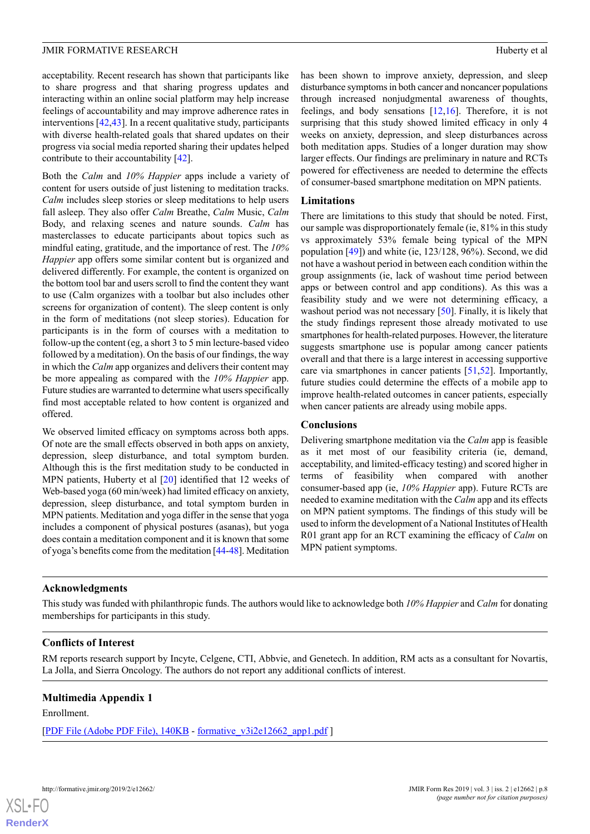acceptability. Recent research has shown that participants like to share progress and that sharing progress updates and interacting within an online social platform may help increase feelings of accountability and may improve adherence rates in interventions [\[42](#page-9-22),[43\]](#page-10-0). In a recent qualitative study, participants with diverse health-related goals that shared updates on their progress via social media reported sharing their updates helped contribute to their accountability [[42\]](#page-9-22).

Both the *Calm* and *10% Happier* apps include a variety of content for users outside of just listening to meditation tracks. *Calm* includes sleep stories or sleep meditations to help users fall asleep. They also offer *Calm* Breathe, *Calm* Music, *Calm* Body, and relaxing scenes and nature sounds. *Calm* has masterclasses to educate participants about topics such as mindful eating, gratitude, and the importance of rest. The *10% Happier* app offers some similar content but is organized and delivered differently. For example, the content is organized on the bottom tool bar and users scroll to find the content they want to use (Calm organizes with a toolbar but also includes other screens for organization of content). The sleep content is only in the form of meditations (not sleep stories). Education for participants is in the form of courses with a meditation to follow-up the content (eg, a short 3 to 5 min lecture-based video followed by a meditation). On the basis of our findings, the way in which the *Calm* app organizes and delivers their content may be more appealing as compared with the *10% Happier* app. Future studies are warranted to determine what users specifically find most acceptable related to how content is organized and offered.

We observed limited efficacy on symptoms across both apps. Of note are the small effects observed in both apps on anxiety, depression, sleep disturbance, and total symptom burden. Although this is the first meditation study to be conducted in MPN patients, Huberty et al [[20\]](#page-9-2) identified that 12 weeks of Web-based yoga (60 min/week) had limited efficacy on anxiety, depression, sleep disturbance, and total symptom burden in MPN patients. Meditation and yoga differ in the sense that yoga includes a component of physical postures (asanas), but yoga does contain a meditation component and it is known that some of yoga's benefits come from the meditation [\[44](#page-10-1)[-48](#page-10-2)]. Meditation

has been shown to improve anxiety, depression, and sleep disturbance symptoms in both cancer and noncancer populations through increased nonjudgmental awareness of thoughts, feelings, and body sensations [\[12](#page-8-13),[16\]](#page-8-11). Therefore, it is not surprising that this study showed limited efficacy in only 4 weeks on anxiety, depression, and sleep disturbances across both meditation apps. Studies of a longer duration may show larger effects. Our findings are preliminary in nature and RCTs powered for effectiveness are needed to determine the effects of consumer-based smartphone meditation on MPN patients.

#### **Limitations**

There are limitations to this study that should be noted. First, our sample was disproportionately female (ie, 81% in this study vs approximately 53% female being typical of the MPN population [\[49](#page-10-3)]) and white (ie, 123/128, 96%). Second, we did not have a washout period in between each condition within the group assignments (ie, lack of washout time period between apps or between control and app conditions). As this was a feasibility study and we were not determining efficacy, a washout period was not necessary [[50\]](#page-10-4). Finally, it is likely that the study findings represent those already motivated to use smartphones for health-related purposes. However, the literature suggests smartphone use is popular among cancer patients overall and that there is a large interest in accessing supportive care via smartphones in cancer patients [[51](#page-10-5)[,52](#page-10-6)]. Importantly, future studies could determine the effects of a mobile app to improve health-related outcomes in cancer patients, especially when cancer patients are already using mobile apps.

# **Conclusions**

Delivering smartphone meditation via the *Calm* app is feasible as it met most of our feasibility criteria (ie, demand, acceptability, and limited-efficacy testing) and scored higher in terms of feasibility when compared with another consumer-based app (ie, *10% Happier* app). Future RCTs are needed to examine meditation with the *Calm* app and its effects on MPN patient symptoms. The findings of this study will be used to inform the development of a National Institutes of Health R01 grant app for an RCT examining the efficacy of *Calm* on MPN patient symptoms.

# **Acknowledgments**

This study was funded with philanthropic funds. The authors would like to acknowledge both *10% Happier* and *Calm* for donating memberships for participants in this study.

#### <span id="page-7-0"></span>**Conflicts of Interest**

RM reports research support by Incyte, Celgene, CTI, Abbvie, and Genetech. In addition, RM acts as a consultant for Novartis, La Jolla, and Sierra Oncology. The authors do not report any additional conflicts of interest.

# **Multimedia Appendix 1**

Enrollment.

[[PDF File \(Adobe PDF File\), 140KB](https://formative.jmir.org/article/downloadSuppFile/12662/99998) - [formative\\_v3i2e12662\\_app1.pdf](https://formative.jmir.org/article/downloadSuppFile/12662/99998) ]

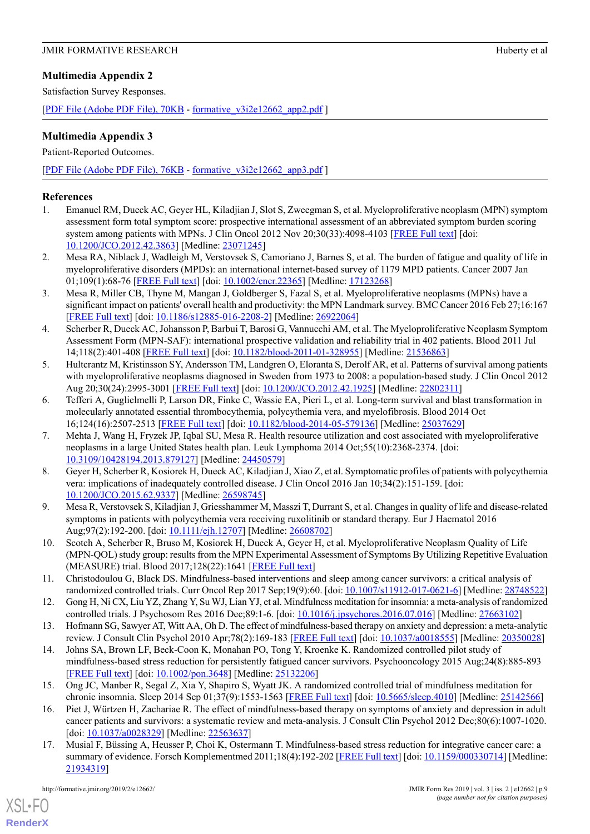# <span id="page-8-14"></span>**Multimedia Appendix 2**

Satisfaction Survey Responses.

[[PDF File \(Adobe PDF File\), 70KB](https://formative.jmir.org/article/downloadSuppFile/12662/99999) - [formative\\_v3i2e12662\\_app2.pdf](https://formative.jmir.org/article/downloadSuppFile/12662/99999) ]

# <span id="page-8-15"></span>**Multimedia Appendix 3**

Patient-Reported Outcomes.

[[PDF File \(Adobe PDF File\), 76KB](https://formative.jmir.org/article/downloadSuppFile/12662/100000) - [formative\\_v3i2e12662\\_app3.pdf](https://formative.jmir.org/article/downloadSuppFile/12662/100000) ]

# <span id="page-8-0"></span>**References**

- <span id="page-8-1"></span>1. Emanuel RM, Dueck AC, Geyer HL, Kiladjian J, Slot S, Zweegman S, et al. Myeloproliferative neoplasm (MPN) symptom assessment form total symptom score: prospective international assessment of an abbreviated symptom burden scoring system among patients with MPNs. J Clin Oncol 2012 Nov 20:30(33):4098-4103 [\[FREE Full text\]](http://europepmc.org/abstract/MED/23071245) [doi: [10.1200/JCO.2012.42.3863](http://dx.doi.org/10.1200/JCO.2012.42.3863)] [Medline: [23071245\]](http://www.ncbi.nlm.nih.gov/entrez/query.fcgi?cmd=Retrieve&db=PubMed&list_uids=23071245&dopt=Abstract)
- <span id="page-8-5"></span>2. Mesa RA, Niblack J, Wadleigh M, Verstovsek S, Camoriano J, Barnes S, et al. The burden of fatigue and quality of life in myeloproliferative disorders (MPDs): an international internet-based survey of 1179 MPD patients. Cancer 2007 Jan 01;109(1):68-76 [[FREE Full text](https://doi.org/10.1002/cncr.22365)] [doi: [10.1002/cncr.22365\]](http://dx.doi.org/10.1002/cncr.22365) [Medline: [17123268\]](http://www.ncbi.nlm.nih.gov/entrez/query.fcgi?cmd=Retrieve&db=PubMed&list_uids=17123268&dopt=Abstract)
- <span id="page-8-2"></span>3. Mesa R, Miller CB, Thyne M, Mangan J, Goldberger S, Fazal S, et al. Myeloproliferative neoplasms (MPNs) have a significant impact on patients' overall health and productivity: the MPN Landmark survey. BMC Cancer 2016 Feb 27;16:167 [[FREE Full text](https://bmccancer.biomedcentral.com/articles/10.1186/s12885-016-2208-2)] [doi: [10.1186/s12885-016-2208-2](http://dx.doi.org/10.1186/s12885-016-2208-2)] [Medline: [26922064](http://www.ncbi.nlm.nih.gov/entrez/query.fcgi?cmd=Retrieve&db=PubMed&list_uids=26922064&dopt=Abstract)]
- <span id="page-8-3"></span>4. Scherber R, Dueck AC, Johansson P, Barbui T, Barosi G, Vannucchi AM, et al. The Myeloproliferative Neoplasm Symptom Assessment Form (MPN-SAF): international prospective validation and reliability trial in 402 patients. Blood 2011 Jul 14;118(2):401-408 [[FREE Full text\]](http://www.bloodjournal.org/cgi/pmidlookup?view=long&pmid=21536863) [doi: [10.1182/blood-2011-01-328955](http://dx.doi.org/10.1182/blood-2011-01-328955)] [Medline: [21536863](http://www.ncbi.nlm.nih.gov/entrez/query.fcgi?cmd=Retrieve&db=PubMed&list_uids=21536863&dopt=Abstract)]
- <span id="page-8-4"></span>5. Hultcrantz M, Kristinsson SY, Andersson TM, Landgren O, Eloranta S, Derolf AR, et al. Patterns of survival among patients with myeloproliferative neoplasms diagnosed in Sweden from 1973 to 2008: a population-based study. J Clin Oncol 2012 Aug 20;30(24):2995-3001 [[FREE Full text](http://europepmc.org/abstract/MED/22802311)] [doi: [10.1200/JCO.2012.42.1925\]](http://dx.doi.org/10.1200/JCO.2012.42.1925) [Medline: [22802311](http://www.ncbi.nlm.nih.gov/entrez/query.fcgi?cmd=Retrieve&db=PubMed&list_uids=22802311&dopt=Abstract)]
- <span id="page-8-6"></span>6. Tefferi A, Guglielmelli P, Larson DR, Finke C, Wassie EA, Pieri L, et al. Long-term survival and blast transformation in molecularly annotated essential thrombocythemia, polycythemia vera, and myelofibrosis. Blood 2014 Oct 16;124(16):2507-2513 [[FREE Full text](http://www.bloodjournal.org/cgi/pmidlookup?view=long&pmid=25037629)] [doi: [10.1182/blood-2014-05-579136](http://dx.doi.org/10.1182/blood-2014-05-579136)] [Medline: [25037629\]](http://www.ncbi.nlm.nih.gov/entrez/query.fcgi?cmd=Retrieve&db=PubMed&list_uids=25037629&dopt=Abstract)
- <span id="page-8-7"></span>7. Mehta J, Wang H, Fryzek JP, Iqbal SU, Mesa R. Health resource utilization and cost associated with myeloproliferative neoplasms in a large United States health plan. Leuk Lymphoma 2014 Oct;55(10):2368-2374. [doi: [10.3109/10428194.2013.879127\]](http://dx.doi.org/10.3109/10428194.2013.879127) [Medline: [24450579](http://www.ncbi.nlm.nih.gov/entrez/query.fcgi?cmd=Retrieve&db=PubMed&list_uids=24450579&dopt=Abstract)]
- <span id="page-8-8"></span>8. Geyer H, Scherber R, Kosiorek H, Dueck AC, Kiladjian J, Xiao Z, et al. Symptomatic profiles of patients with polycythemia vera: implications of inadequately controlled disease. J Clin Oncol 2016 Jan 10;34(2):151-159. [doi: [10.1200/JCO.2015.62.9337](http://dx.doi.org/10.1200/JCO.2015.62.9337)] [Medline: [26598745\]](http://www.ncbi.nlm.nih.gov/entrez/query.fcgi?cmd=Retrieve&db=PubMed&list_uids=26598745&dopt=Abstract)
- <span id="page-8-10"></span><span id="page-8-9"></span>9. Mesa R, Verstovsek S, Kiladjian J, Griesshammer M, Masszi T, Durrant S, et al. Changes in quality of life and disease-related symptoms in patients with polycythemia vera receiving ruxolitinib or standard therapy. Eur J Haematol 2016 Aug;97(2):192-200. [doi: [10.1111/ejh.12707](http://dx.doi.org/10.1111/ejh.12707)] [Medline: [26608702](http://www.ncbi.nlm.nih.gov/entrez/query.fcgi?cmd=Retrieve&db=PubMed&list_uids=26608702&dopt=Abstract)]
- <span id="page-8-13"></span>10. Scotch A, Scherber R, Bruso M, Kosiorek H, Dueck A, Geyer H, et al. Myeloproliferative Neoplasm Quality of Life (MPN-QOL) study group: results from the MPN Experimental Assessment of Symptoms By Utilizing Repetitive Evaluation (MEASURE) trial. Blood 2017;128(22):1641 [\[FREE Full text\]](http://www.bloodjournal.org/content/128/22/5479?sso-checked=true)
- 11. Christodoulou G, Black DS. Mindfulness-based interventions and sleep among cancer survivors: a critical analysis of randomized controlled trials. Curr Oncol Rep 2017 Sep;19(9):60. [doi: [10.1007/s11912-017-0621-6](http://dx.doi.org/10.1007/s11912-017-0621-6)] [Medline: [28748522](http://www.ncbi.nlm.nih.gov/entrez/query.fcgi?cmd=Retrieve&db=PubMed&list_uids=28748522&dopt=Abstract)]
- 12. Gong H, Ni CX, Liu YZ, Zhang Y, Su WJ, Lian YJ, et al. Mindfulness meditation for insomnia: a meta-analysis of randomized controlled trials. J Psychosom Res 2016 Dec;89:1-6. [doi: [10.1016/j.jpsychores.2016.07.016\]](http://dx.doi.org/10.1016/j.jpsychores.2016.07.016) [Medline: [27663102\]](http://www.ncbi.nlm.nih.gov/entrez/query.fcgi?cmd=Retrieve&db=PubMed&list_uids=27663102&dopt=Abstract)
- 13. Hofmann SG, Sawyer AT, Witt AA, Oh D. The effect of mindfulness-based therapy on anxiety and depression: a meta-analytic review. J Consult Clin Psychol 2010 Apr;78(2):169-183 [\[FREE Full text\]](http://europepmc.org/abstract/MED/20350028) [doi: [10.1037/a0018555\]](http://dx.doi.org/10.1037/a0018555) [Medline: [20350028](http://www.ncbi.nlm.nih.gov/entrez/query.fcgi?cmd=Retrieve&db=PubMed&list_uids=20350028&dopt=Abstract)]
- <span id="page-8-11"></span>14. Johns SA, Brown LF, Beck-Coon K, Monahan PO, Tong Y, Kroenke K. Randomized controlled pilot study of mindfulness-based stress reduction for persistently fatigued cancer survivors. Psychooncology 2015 Aug;24(8):885-893 [[FREE Full text](http://europepmc.org/abstract/MED/25132206)] [doi: [10.1002/pon.3648](http://dx.doi.org/10.1002/pon.3648)] [Medline: [25132206](http://www.ncbi.nlm.nih.gov/entrez/query.fcgi?cmd=Retrieve&db=PubMed&list_uids=25132206&dopt=Abstract)]
- <span id="page-8-12"></span>15. Ong JC, Manber R, Segal Z, Xia Y, Shapiro S, Wyatt JK. A randomized controlled trial of mindfulness meditation for chronic insomnia. Sleep 2014 Sep 01;37(9):1553-1563 [[FREE Full text](http://europepmc.org/abstract/MED/25142566)] [doi: [10.5665/sleep.4010\]](http://dx.doi.org/10.5665/sleep.4010) [Medline: [25142566](http://www.ncbi.nlm.nih.gov/entrez/query.fcgi?cmd=Retrieve&db=PubMed&list_uids=25142566&dopt=Abstract)]
- 16. Piet J, Würtzen H, Zachariae R. The effect of mindfulness-based therapy on symptoms of anxiety and depression in adult cancer patients and survivors: a systematic review and meta-analysis. J Consult Clin Psychol 2012 Dec;80(6):1007-1020. [doi: [10.1037/a0028329\]](http://dx.doi.org/10.1037/a0028329) [Medline: [22563637](http://www.ncbi.nlm.nih.gov/entrez/query.fcgi?cmd=Retrieve&db=PubMed&list_uids=22563637&dopt=Abstract)]
- 17. Musial F, Büssing A, Heusser P, Choi K, Ostermann T. Mindfulness-based stress reduction for integrative cancer care: a summary of evidence. Forsch Komplementmed 2011;18(4):192-202 [\[FREE Full text\]](https://www.karger.com?DOI=10.1159/000330714) [doi: [10.1159/000330714](http://dx.doi.org/10.1159/000330714)] [Medline: [21934319](http://www.ncbi.nlm.nih.gov/entrez/query.fcgi?cmd=Retrieve&db=PubMed&list_uids=21934319&dopt=Abstract)]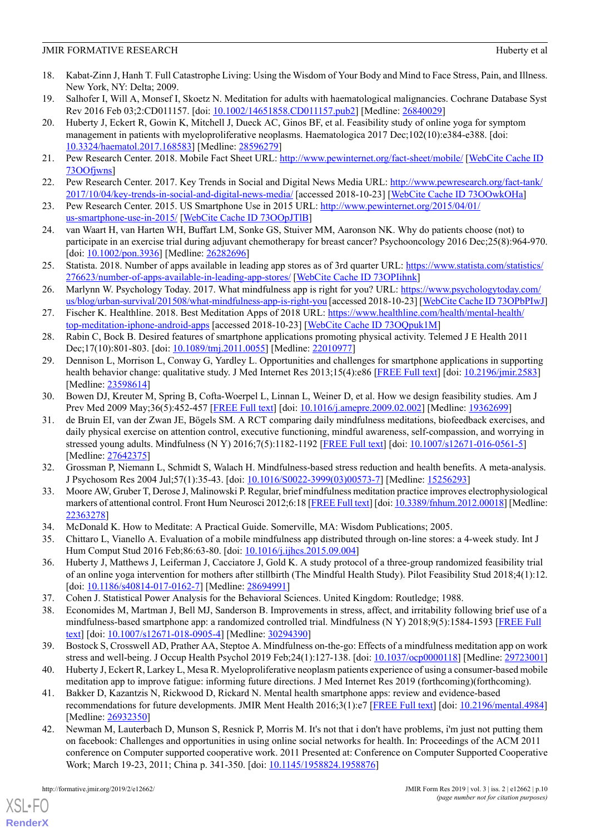- <span id="page-9-0"></span>18. Kabat-Zinn J, Hanh T. Full Catastrophe Living: Using the Wisdom of Your Body and Mind to Face Stress, Pain, and Illness. New York, NY: Delta; 2009.
- <span id="page-9-2"></span><span id="page-9-1"></span>19. Salhofer I, Will A, Monsef I, Skoetz N. Meditation for adults with haematological malignancies. Cochrane Database Syst Rev 2016 Feb 03;2:CD011157. [doi: [10.1002/14651858.CD011157.pub2\]](http://dx.doi.org/10.1002/14651858.CD011157.pub2) [Medline: [26840029](http://www.ncbi.nlm.nih.gov/entrez/query.fcgi?cmd=Retrieve&db=PubMed&list_uids=26840029&dopt=Abstract)]
- 20. Huberty J, Eckert R, Gowin K, Mitchell J, Dueck AC, Ginos BF, et al. Feasibility study of online yoga for symptom management in patients with myeloproliferative neoplasms. Haematologica 2017 Dec;102(10):e384-e388. [doi: [10.3324/haematol.2017.168583](http://dx.doi.org/10.3324/haematol.2017.168583)] [Medline: [28596279](http://www.ncbi.nlm.nih.gov/entrez/query.fcgi?cmd=Retrieve&db=PubMed&list_uids=28596279&dopt=Abstract)]
- <span id="page-9-3"></span>21. Pew Research Center. 2018. Mobile Fact Sheet URL:<http://www.pewinternet.org/fact-sheet/mobile/> [\[WebCite Cache ID](http://www.webcitation.org/73OOfjwns) [73OOfjwns](http://www.webcitation.org/73OOfjwns)]
- <span id="page-9-4"></span>22. Pew Research Center. 2017. Key Trends in Social and Digital News Media URL: [http://www.pewresearch.org/fact-tank/](http://www.pewresearch.org/fact-tank/2017/10/04/key-trends-in-social-and-digital-news-media/) [2017/10/04/key-trends-in-social-and-digital-news-media/](http://www.pewresearch.org/fact-tank/2017/10/04/key-trends-in-social-and-digital-news-media/) [accessed 2018-10-23] [[WebCite Cache ID 73OOwkOHa](http://www.webcitation.org/73OOwkOHa)]
- <span id="page-9-5"></span>23. Pew Research Center. 2015. US Smartphone Use in 2015 URL: [http://www.pewinternet.org/2015/04/01/](http://www.pewinternet.org/2015/04/01/us-smartphone-use-in-2015/) [us-smartphone-use-in-2015/](http://www.pewinternet.org/2015/04/01/us-smartphone-use-in-2015/) [\[WebCite Cache ID 73OOpJTlB\]](http://www.webcitation.org/73OOpJTlB)
- <span id="page-9-6"></span>24. van Waart H, van Harten WH, Buffart LM, Sonke GS, Stuiver MM, Aaronson NK. Why do patients choose (not) to participate in an exercise trial during adjuvant chemotherapy for breast cancer? Psychooncology 2016 Dec;25(8):964-970. [doi: [10.1002/pon.3936\]](http://dx.doi.org/10.1002/pon.3936) [Medline: [26282696](http://www.ncbi.nlm.nih.gov/entrez/query.fcgi?cmd=Retrieve&db=PubMed&list_uids=26282696&dopt=Abstract)]
- <span id="page-9-7"></span>25. Statista. 2018. Number of apps available in leading app stores as of 3rd quarter URL: [https://www.statista.com/statistics/](https://www.statista.com/statistics/276623/number-of-apps-available-in-leading-app-stores/) [276623/number-of-apps-available-in-leading-app-stores/](https://www.statista.com/statistics/276623/number-of-apps-available-in-leading-app-stores/) [\[WebCite Cache ID 73OPIihnk\]](http://www.webcitation.org/73OPIihnk)
- <span id="page-9-8"></span>26. Marlynn W. Psychology Today. 2017. What mindfulness app is right for you? URL: [https://www.psychologytoday.com/](https://www.psychologytoday.com/us/blog/urban-survival/201508/what-mindfulness-app-is-right-you) [us/blog/urban-survival/201508/what-mindfulness-app-is-right-you](https://www.psychologytoday.com/us/blog/urban-survival/201508/what-mindfulness-app-is-right-you) [accessed 2018-10-23] [[WebCite Cache ID 73OPbPIwJ\]](http://www.webcitation.org/73OPbPIwJ)
- <span id="page-9-10"></span><span id="page-9-9"></span>27. Fischer K. Healthline. 2018. Best Meditation Apps of 2018 URL: [https://www.healthline.com/health/mental-health/](https://www.healthline.com/health/mental-health/top-meditation-iphone-android-apps) [top-meditation-iphone-android-apps](https://www.healthline.com/health/mental-health/top-meditation-iphone-android-apps) [accessed 2018-10-23] [\[WebCite Cache ID 73OQpuk1M\]](http://www.webcitation.org/73OQpuk1M)
- 28. Rabin C, Bock B. Desired features of smartphone applications promoting physical activity. Telemed J E Health 2011 Dec;17(10):801-803. [doi: [10.1089/tmj.2011.0055\]](http://dx.doi.org/10.1089/tmj.2011.0055) [Medline: [22010977](http://www.ncbi.nlm.nih.gov/entrez/query.fcgi?cmd=Retrieve&db=PubMed&list_uids=22010977&dopt=Abstract)]
- <span id="page-9-12"></span><span id="page-9-11"></span>29. Dennison L, Morrison L, Conway G, Yardley L. Opportunities and challenges for smartphone applications in supporting health behavior change: qualitative study. J Med Internet Res 2013;15(4):e86 [[FREE Full text](http://www.jmir.org/2013/4/e86/)] [doi: [10.2196/jmir.2583](http://dx.doi.org/10.2196/jmir.2583)] [Medline: [23598614](http://www.ncbi.nlm.nih.gov/entrez/query.fcgi?cmd=Retrieve&db=PubMed&list_uids=23598614&dopt=Abstract)]
- 30. Bowen DJ, Kreuter M, Spring B, Cofta-Woerpel L, Linnan L, Weiner D, et al. How we design feasibility studies. Am J Prev Med 2009 May;36(5):452-457 [\[FREE Full text\]](http://europepmc.org/abstract/MED/19362699) [doi: [10.1016/j.amepre.2009.02.002\]](http://dx.doi.org/10.1016/j.amepre.2009.02.002) [Medline: [19362699](http://www.ncbi.nlm.nih.gov/entrez/query.fcgi?cmd=Retrieve&db=PubMed&list_uids=19362699&dopt=Abstract)]
- <span id="page-9-13"></span>31. de Bruin EI, van der Zwan JE, Bögels SM. A RCT comparing daily mindfulness meditations, biofeedback exercises, and daily physical exercise on attention control, executive functioning, mindful awareness, self-compassion, and worrying in stressed young adults. Mindfulness (N Y) 2016;7(5):1182-1192 [\[FREE Full text\]](http://europepmc.org/abstract/MED/27642375) [doi: [10.1007/s12671-016-0561-5](http://dx.doi.org/10.1007/s12671-016-0561-5)] [Medline: [27642375](http://www.ncbi.nlm.nih.gov/entrez/query.fcgi?cmd=Retrieve&db=PubMed&list_uids=27642375&dopt=Abstract)]
- <span id="page-9-14"></span>32. Grossman P, Niemann L, Schmidt S, Walach H. Mindfulness-based stress reduction and health benefits. A meta-analysis. J Psychosom Res 2004 Jul;57(1):35-43. [doi: [10.1016/S0022-3999\(03\)00573-7\]](http://dx.doi.org/10.1016/S0022-3999(03)00573-7) [Medline: [15256293](http://www.ncbi.nlm.nih.gov/entrez/query.fcgi?cmd=Retrieve&db=PubMed&list_uids=15256293&dopt=Abstract)]
- <span id="page-9-16"></span><span id="page-9-15"></span>33. Moore AW, Gruber T, Derose J, Malinowski P. Regular, brief mindfulness meditation practice improves electrophysiological markers of attentional control. Front Hum Neurosci 2012;6:18 [\[FREE Full text\]](https://dx.doi.org/10.3389/fnhum.2012.00018) [doi: [10.3389/fnhum.2012.00018\]](http://dx.doi.org/10.3389/fnhum.2012.00018) [Medline: [22363278](http://www.ncbi.nlm.nih.gov/entrez/query.fcgi?cmd=Retrieve&db=PubMed&list_uids=22363278&dopt=Abstract)]
- 34. McDonald K. How to Meditate: A Practical Guide. Somerville, MA: Wisdom Publications; 2005.
- <span id="page-9-18"></span><span id="page-9-17"></span>35. Chittaro L, Vianello A. Evaluation of a mobile mindfulness app distributed through on-line stores: a 4-week study. Int J Hum Comput Stud 2016 Feb;86:63-80. [doi: [10.1016/j.ijhcs.2015.09.004](http://dx.doi.org/10.1016/j.ijhcs.2015.09.004)]
- 36. Huberty J, Matthews J, Leiferman J, Cacciatore J, Gold K. A study protocol of a three-group randomized feasibility trial of an online yoga intervention for mothers after stillbirth (The Mindful Health Study). Pilot Feasibility Stud 2018;4(1):12. [doi: [10.1186/s40814-017-0162-7\]](http://dx.doi.org/10.1186/s40814-017-0162-7) [Medline: [28694991](http://www.ncbi.nlm.nih.gov/entrez/query.fcgi?cmd=Retrieve&db=PubMed&list_uids=28694991&dopt=Abstract)]
- <span id="page-9-20"></span><span id="page-9-19"></span>37. Cohen J. Statistical Power Analysis for the Behavioral Sciences. United Kingdom: Routledge; 1988.
- <span id="page-9-21"></span>38. Economides M, Martman J, Bell MJ, Sanderson B. Improvements in stress, affect, and irritability following brief use of a mindfulness-based smartphone app: a randomized controlled trial. Mindfulness (N Y) 2018;9(5):1584-1593 [\[FREE Full](http://europepmc.org/abstract/MED/30294390) [text\]](http://europepmc.org/abstract/MED/30294390) [doi: [10.1007/s12671-018-0905-4\]](http://dx.doi.org/10.1007/s12671-018-0905-4) [Medline: [30294390\]](http://www.ncbi.nlm.nih.gov/entrez/query.fcgi?cmd=Retrieve&db=PubMed&list_uids=30294390&dopt=Abstract)
- <span id="page-9-22"></span>39. Bostock S, Crosswell AD, Prather AA, Steptoe A. Mindfulness on-the-go: Effects of a mindfulness meditation app on work stress and well-being. J Occup Health Psychol 2019 Feb;24(1):127-138. [doi: [10.1037/ocp0000118\]](http://dx.doi.org/10.1037/ocp0000118) [Medline: [29723001](http://www.ncbi.nlm.nih.gov/entrez/query.fcgi?cmd=Retrieve&db=PubMed&list_uids=29723001&dopt=Abstract)]
- 40. Huberty J, Eckert R, Larkey L, Mesa R. Myeloproliferative neoplasm patients experience of using a consumer-based mobile meditation app to improve fatigue: informing future directions. J Med Internet Res 2019 (forthcoming)(forthcoming).
- 41. Bakker D, Kazantzis N, Rickwood D, Rickard N. Mental health smartphone apps: review and evidence-based recommendations for future developments. JMIR Ment Health 2016;3(1):e7 [\[FREE Full text\]](http://mental.jmir.org/2016/1/e7/) [doi: [10.2196/mental.4984](http://dx.doi.org/10.2196/mental.4984)] [Medline: [26932350](http://www.ncbi.nlm.nih.gov/entrez/query.fcgi?cmd=Retrieve&db=PubMed&list_uids=26932350&dopt=Abstract)]
- 42. Newman M, Lauterbach D, Munson S, Resnick P, Morris M. It's not that i don't have problems, i'm just not putting them on facebook: Challenges and opportunities in using online social networks for health. In: Proceedings of the ACM 2011 conference on Computer supported cooperative work. 2011 Presented at: Conference on Computer Supported Cooperative Work; March 19-23, 2011; China p. 341-350. [doi: [10.1145/1958824.1958876](http://dx.doi.org/10.1145/1958824.1958876)]